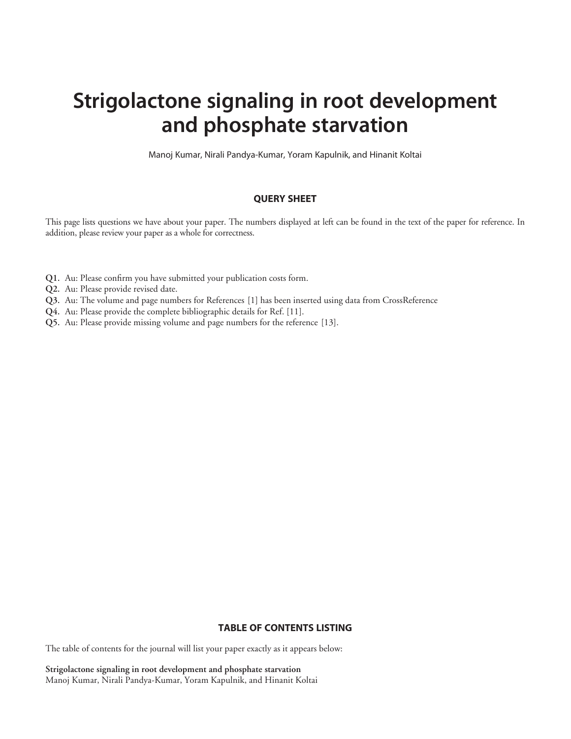# Strigolactone signaling in root development and phosphate starvation

Manoj Kumar, Nirali Pandya-Kumar, Yoram Kapulnik, and Hinanit Koltai

## QUERY SHEET

This page lists questions we have about your paper. The numbers displayed at left can be found in the text of the paper for reference. In addition, please review your paper as a whole for correctness.

- Q1. Au: Please confirm you have submitted your publication costs form.
- Q2. Au: Please provide revised date.
- Q3. Au: The volume and page numbers for References [1] has been inserted using data from CrossReference
- Q4. Au: Please provide the complete bibliographic details for Ref. [11].
- Q5. Au: Please provide missing volume and page numbers for the reference [13].

## TABLE OF CONTENTS LISTING

The table of contents for the journal will list your paper exactly as it appears below:

Strigolactone signaling in root development and phosphate starvation Manoj Kumar, Nirali Pandya-Kumar, Yoram Kapulnik, and Hinanit Koltai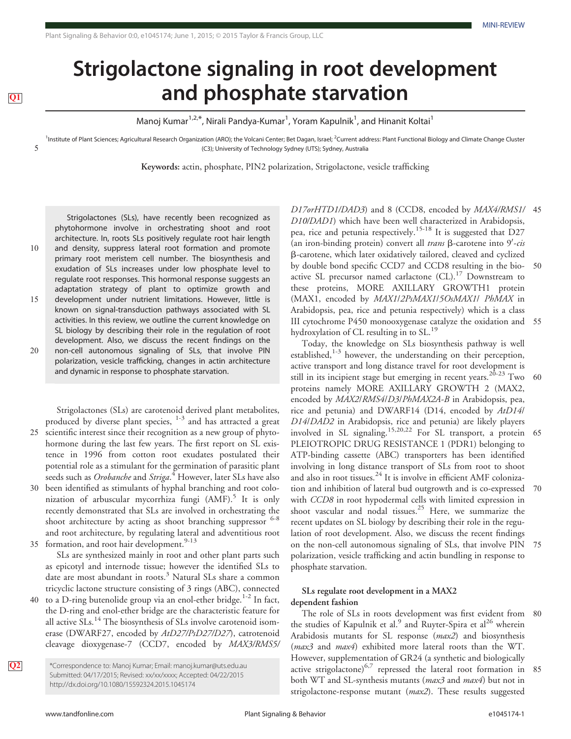# Strigolactone signaling in root development **TEP and phosphate starvation**

Manoj Kumar<sup>1,2,\*</sup>, Nirali Pandya-Kumar<sup>1</sup>, Yoram Kapulnik<sup>1</sup>, and Hinanit Koltai<sup>1</sup>

<sup>1</sup>Institute of Plant Sciences; Agricultural Research Organization (ARO); the Volcani Center; Bet Dagan, Israel; <sup>2</sup>Current address: Plant Functional Biology and Climate Change Cluster 5 (C3); University of Technology Sydney (UTS); Sydney, Australia

Keywords: actin, phosphate, PIN2 polarization, Strigolactone, vesicle trafficking

Strigolactones (SLs), have recently been recognized as phytohormone involve in orchestrating shoot and root architecture. In, roots SLs positively regulate root hair length 10 and density, suppress lateral root formation and promote primary root meristem cell number. The biosynthesis and exudation of SLs increases under low phosphate level to regulate root responses. This hormonal response suggests an

adaptation strategy of plant to optimize growth and 15 development under nutrient limitations. However, little is known on signal-transduction pathways associated with SL activities. In this review, we outline the current knowledge on SL biology by describing their role in the regulation of root development. Also, we discuss the recent findings on the 20 non-cell autonomous signaling of SLs, that involve PIN polarization, vesicle trafficking, changes in actin architecture and dynamic in response to phosphate starvation.

Strigolactones (SLs) are carotenoid derived plant metabolites, produced by diverse plant species, 1-3 and has attracted a great 25 scientific interest since their recognition as a new group of phytohormone during the last few years. The first report on SL existence in 1996 from cotton root exudates postulated their potential role as a stimulant for the germination of parasitic plant seeds such as *Orobanche* and Striga.<sup>4</sup> However, later SLs have also

30 been identified as stimulants of hyphal branching and root colonization of arbuscular mycorrhiza fungi  $(AMF)$ .<sup>5</sup> It is only recently demonstrated that SLs are involved in orchestrating the shoot architecture by acting as shoot branching suppressor <sup>6-8</sup> and root architecture, by regulating lateral and adventitious root 35 formation, and root hair development. $9-13$ 

SLs are synthesized mainly in root and other plant parts such as epicotyl and internode tissue; however the identified SLs to date are most abundant in roots.<sup>3</sup> Natural SLs share a common tricyclic lactone structure consisting of 3 rings (ABC), connected

40 to a D-ring butenolide group via an enol-ether bridge.<sup>1-2</sup> In fact, the D-ring and enol-ether bridge are the characteristic feature for all active  $SLs$ <sup>14</sup>. The biosynthesis of  $SLs$  involve carotenoid isomerase (DWARF27, encoded by AtD27/PsD27/D27), catrotenoid cleavage dioxygenase-7 (CCD7, encoded by MAX3/RMS5/

**Q2** \*Correspondence to: Manoj Kumar; Email: manoj.kumar@uts.edu.au Submitted: 04/17/2015; Revised: xx/xx/xxxx; Accepted: 04/22/2015 http://dx.doi.org/10.1080/15592324.2015.1045174

D17orHTD1/DAD3) and 8 (CCD8, encoded by MAX4/RMS1/ 45 D10/DAD1) which have been well characterized in Arabidopsis, pea, rice and petunia respectively.15-18 It is suggested that D27 (an iron-binding protein) convert all trans  $\beta$ -carotene into  $9'$ -cis b-carotene, which later oxidatively tailored, cleaved and cyclized by double bond specific CCD7 and CCD8 resulting in the bio- 50 active SL precursor named carlactone  $(CL)$ .<sup>17</sup> Downstream to these proteins, MORE AXILLARY GROWTH1 protein (MAX1, encoded by MAX1/2PsMAX1/5OsMAX1/ PhMAX in Arabidopsis, pea, rice and petunia respectively) which is a class III cytochrome P450 monooxygenase catalyze the oxidation and 55 hydroxylation of CL resulting in to SL.<sup>19</sup>

Today, the knowledge on SLs biosynthesis pathway is well established,<sup>1-3</sup> however, the understanding on their perception, active transport and long distance travel for root development is still in its incipient stage but emerging in recent years.<sup>20-23</sup> Two 60 proteins namely MORE AXILLARY GROWTH 2 (MAX2, encoded by MAX2/RMS4/D3/PhMAX2A-B in Arabidopsis, pea, rice and petunia) and DWARF14 (D14, encoded by AtD14/ D14/DAD2 in Arabidopsis, rice and petunia) are likely players involved in SL signaling.<sup>15,20,22</sup> For SL transport, a protein 65 PLEIOTROPIC DRUG RESISTANCE 1 (PDR1) belonging to ATP-binding cassette (ABC) transporters has been identified involving in long distance transport of SLs from root to shoot and also in root tissues.<sup>24</sup> It is involve in efficient AMF colonization and inhibition of lateral bud outgrowth and is co-expressed 70 with *CCD8* in root hypodermal cells with limited expression in shoot vascular and nodal tissues. $25$  Here, we summarize the recent updates on SL biology by describing their role in the regulation of root development. Also, we discuss the recent findings on the non-cell autonomous signaling of SLs, that involve PIN 75 polarization, vesicle trafficking and actin bundling in response to phosphate starvation.

## SLs regulate root development in a MAX2 dependent fashion

The role of SLs in roots development was first evident from 80 the studies of Kapulnik et al.<sup>9</sup> and Ruyter-Spira et al<sup>26</sup> wherein Arabidosis mutants for SL response (max2) and biosynthesis (*max3* and *max4*) exhibited more lateral roots than the WT. However, supplementation of GR24 (a synthetic and biologically active strigolactone)<sup>6,7</sup> repressed the lateral root formation in 85 both WT and SL-synthesis mutants (max3 and max4) but not in strigolactone-response mutant  $(max2)$ . These results suggested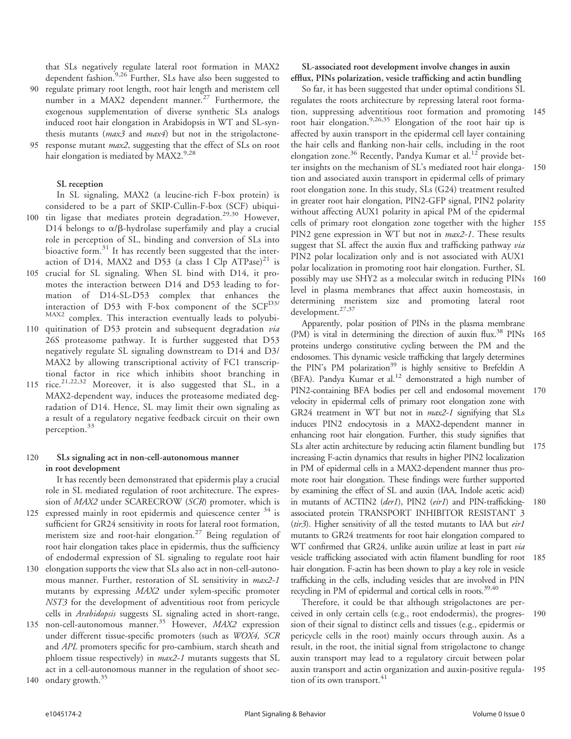that SLs negatively regulate lateral root formation in MAX2 dependent fashion.<sup>9,26</sup> Further, SLs have also been suggested to

- 90 regulate primary root length, root hair length and meristem cell number in a MAX2 dependent manner.<sup>27</sup> Furthermore, the exogenous supplementation of diverse synthetic SLs analogs induced root hair elongation in Arabidopsis in WT and SL-synthesis mutants (max3 and max4) but not in the strigolactone-
- response mutant *max2*, suggesting that the effect of SLs on root hair elongation is mediated by MAX2.9,28

#### SL reception

In SL signaling, MAX2 (a leucine-rich F-box protein) is considered to be a part of SKIP-Cullin-F-box (SCF) ubiqui-

- 100 tin ligase that mediates protein degradation.<sup>29,30</sup> However, D14 belongs to  $\alpha/\beta$ -hydrolase superfamily and play a crucial role in perception of SL, binding and conversion of SLs into bioactive form. $31$  It has recently been suggested that the interaction of D14, MAX2 and D53 (a class I Clp  $ATPase)^{21}$  is
- crucial for SL signaling. When SL bind with D14, it promotes the interaction between D14 and D53 leading to formation of D14-SL-D53 complex that enhances the interaction of D53 with F-box component of the  $SCF<sup>D3/</sup>$ MAX2 complex. This interaction eventually leads to polyubi-
- 110 quitination of D53 protein and subsequent degradation via 26S proteasome pathway. It is further suggested that D53 negatively regulate SL signaling downstream to D14 and D3/ MAX2 by allowing transcriptional activity of FC1 transcriptional factor in rice which inhibits shoot branching in
- 115 rice.<sup>21,22,32</sup> Moreover, it is also suggested that SL, in a MAX2-dependent way, induces the proteasome mediated degradation of D14. Hence, SL may limit their own signaling as a result of a regulatory negative feedback circuit on their own perception.<sup>33</sup>

## 120 SLs signaling act in non-cell-autonomous manner in root development

It has recently been demonstrated that epidermis play a crucial role in SL mediated regulation of root architecture. The expression of MAX2 under SCARECROW (SCR) promoter, which is

- 125 expressed mainly in root epidermis and quiescence center  $34$  is sufficient for GR24 sensitivity in roots for lateral root formation, meristem size and root-hair elongation.<sup>27</sup> Being regulation of root hair elongation takes place in epidermis, thus the sufficiency of endodermal expression of SL signaling to regulate root hair
- 130 elongation supports the view that SLs also act in non-cell-autonomous manner. Further, restoration of SL sensitivity in max2-1 mutants by expressing MAX2 under xylem-specific promoter NST3 for the development of adventitious root from pericycle cells in Arabidopsis suggests SL signaling acted in short-range,
- 135 non-cell-autonomous manner.<sup>35</sup> However, MAX2 expression under different tissue-specific promoters (such as WOX4, SCR and APL promoters specific for pro-cambium, starch sheath and phloem tissue respectively) in *max2-1* mutants suggests that SL act in a cell-autonomous manner in the regulation of shoot sec-140 ondary growth.<sup>35</sup>

## SL-associated root development involve changes in auxin efflux, PINs polarization, vesicle trafficking and actin bundling

So far, it has been suggested that under optimal conditions SL regulates the roots architecture by repressing lateral root formation, suppressing adventitious root formation and promoting 145 root hair elongation.<sup>9,26,35</sup> Elongation of the root hair tip is affected by auxin transport in the epidermal cell layer containing the hair cells and flanking non-hair cells, including in the root elongation zone.<sup>36</sup> Recently, Pandya Kumar et al.<sup>12</sup> provide better insights on the mechanism of SL's mediated root hair elonga- 150 tion and associated auxin transport in epidermal cells of primary root elongation zone. In this study, SLs (G24) treatment resulted in greater root hair elongation, PIN2-GFP signal, PIN2 polarity without affecting AUX1 polarity in apical PM of the epidermal cells of primary root elongation zone together with the higher 155 PIN2 gene expression in WT but not in *max2-1*. These results suggest that SL affect the auxin flux and trafficking pathway via PIN2 polar localization only and is not associated with AUX1 polar localization in promoting root hair elongation. Further, SL possibly may use SHY2 as a molecular switch in reducing PINs 160 level in plasma membranes that affect auxin homeostasis, in determining meristem size and promoting lateral root development.27,37

Apparently, polar position of PINs in the plasma membrane (PM) is vital in determining the direction of auxin flux.<sup>38</sup> PINs  $165$ proteins undergo constitutive cycling between the PM and the endosomes. This dynamic vesicle trafficking that largely determines the PIN's PM polarization<sup>39</sup> is highly sensitive to Brefeldin A (BFA). Pandya Kumar et al.<sup>12</sup> demonstrated a high number of PIN2-containing BFA bodies per cell and endosomal movement 170 velocity in epidermal cells of primary root elongation zone with GR24 treatment in WT but not in *max2-1* signifying that SLs induces PIN2 endocytosis in a MAX2-dependent manner in enhancing root hair elongation. Further, this study signifies that SLs alter actin architecture by reducing actin filament bundling but 175 increasing F-actin dynamics that results in higher PIN2 localization in PM of epidermal cells in a MAX2-dependent manner thus promote root hair elongation. These findings were further supported by examining the effect of SL and auxin (IAA, Indole acetic acid) in mutants of ACTIN2 (der1), PIN2 (eir1) and PIN-trafficking- 180 associated protein TRANSPORT INHIBITOR RESISTANT 3 ( $tir3$ ). Higher sensitivity of all the tested mutants to IAA but  $eir1$ mutants to GR24 treatments for root hair elongation compared to WT confirmed that GR24, unlike auxin utilize at least in part *via* vesicle trafficking associated with actin filament bundling for root 185 hair elongation. F-actin has been shown to play a key role in vesicle trafficking in the cells, including vesicles that are involved in PIN recycling in PM of epidermal and cortical cells in roots.<sup>39,40</sup>

Therefore, it could be that although strigolactones are perceived in only certain cells (e.g., root endodermis), the progres- 190 sion of their signal to distinct cells and tissues (e.g., epidermis or pericycle cells in the root) mainly occurs through auxin. As a result, in the root, the initial signal from strigolactone to change auxin transport may lead to a regulatory circuit between polar auxin transport and actin organization and auxin-positive regula- 195 tion of its own transport. $41$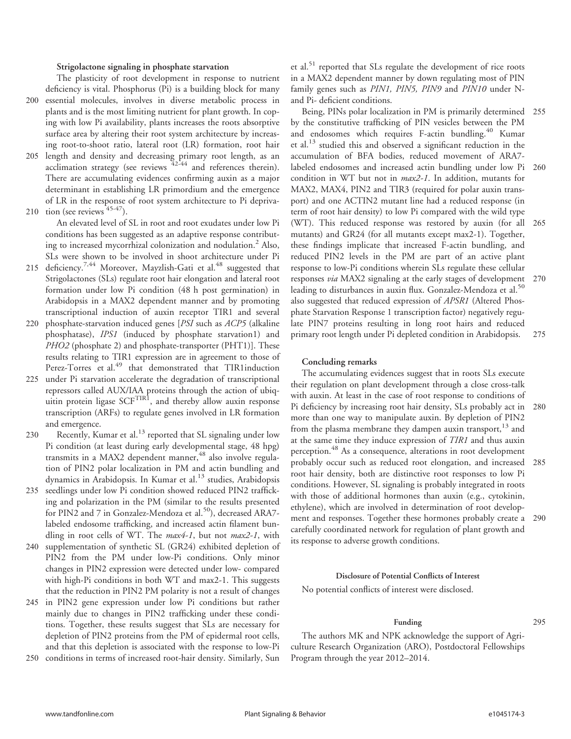### Strigolactone signaling in phosphate starvation

deficiency is vital. Phosphorus (Pi) is a building block for many 200 essential molecules, involves in diverse metabolic process in plants and is the most limiting nutrient for plant growth. In coping with low Pi availability, plants increases the roots absorptive surface area by altering their root system architecture by increasing root-to-shoot ratio, lateral root (LR) formation, root hair

The plasticity of root development in response to nutrient

- 205 length and density and decreasing primary root length, as an acclimation strategy (see reviews 42-44 and references therein). There are accumulating evidences confirming auxin as a major determinant in establishing LR primordium and the emergence of LR in the response of root system architecture to Pi depriva-
- 210 tion (see reviews  $45-47$ ).

An elevated level of SL in root and root exudates under low Pi conditions has been suggested as an adaptive response contributing to increased mycorrhizal colonization and nodulation.<sup>2</sup> Also, SLs were shown to be involved in shoot architecture under Pi

- 215 deficiency.<sup>7,44</sup> Moreover, Mayzlish-Gati et al.<sup>48</sup> suggested that Strigolactones (SLs) regulate root hair elongation and lateral root formation under low Pi condition (48 h post germination) in Arabidopsis in a MAX2 dependent manner and by promoting transcriptional induction of auxin receptor TIR1 and several
- 220 phosphate-starvation induced genes [PSI such as ACP5 (alkaline phosphatase), IPS1 (induced by phosphate starvation1) and PHO2 (phosphate 2) and phosphate-transporter (PHT1)]. These results relating to TIR1 expression are in agreement to those of Perez-Torres et al.<sup>49</sup> that demonstrated that TIR1induction
- 225 under Pi starvation accelerate the degradation of transcriptional repressors called AUX/IAA proteins through the action of ubiquitin protein ligase SCF<sup>TIR1</sup>, and thereby allow auxin response transcription (ARFs) to regulate genes involved in LR formation and emergence.
- 230 Recently, Kumar et al. $^{13}$  reported that SL signaling under low Pi condition (at least during early developmental stage, 48 hpg) transmits in a MAX2 dependent manner,<sup>48</sup> also involve regulation of PIN2 polar localization in PM and actin bundling and dynamics in Arabidopsis. In Kumar et al.<sup>13</sup> studies, Arabidopsis
- 235 seedlings under low Pi condition showed reduced PIN2 trafficking and polarization in the PM (similar to the results presented for PIN2 and 7 in Gonzalez-Mendoza et al.<sup>50</sup>), decreased ARA7labeled endosome trafficking, and increased actin filament bundling in root cells of WT. The max4-1, but not max2-1, with
- 240 supplementation of synthetic SL (GR24) exhibited depletion of PIN2 from the PM under low-Pi conditions. Only minor changes in PIN2 expression were detected under low- compared with high-Pi conditions in both WT and max2-1. This suggests that the reduction in PIN2 PM polarity is not a result of changes
- 245 in PIN2 gene expression under low Pi conditions but rather mainly due to changes in PIN2 trafficking under these conditions. Together, these results suggest that SLs are necessary for depletion of PIN2 proteins from the PM of epidermal root cells, and that this depletion is associated with the response to low-Pi
- 250 conditions in terms of increased root-hair density. Similarly, Sun

et al.<sup>51</sup> reported that SLs regulate the development of rice roots in a MAX2 dependent manner by down regulating most of PIN family genes such as PIN1, PIN5, PIN9 and PIN10 under Nand Pi- deficient conditions.

Being, PINs polar localization in PM is primarily determined 255 by the constitutive trafficking of PIN vesicles between the PM and endosomes which requires F-actin bundling.<sup>40</sup> Kumar et al.13 studied this and observed a significant reduction in the accumulation of BFA bodies, reduced movement of ARA7 labeled endosomes and increased actin bundling under low Pi 260 condition in WT but not in max2-1. In addition, mutants for MAX2, MAX4, PIN2 and TIR3 (required for polar auxin transport) and one ACTIN2 mutant line had a reduced response (in term of root hair density) to low Pi compared with the wild type (WT). This reduced response was restored by auxin (for all 265 mutants) and GR24 (for all mutants except max2-1). Together, these findings implicate that increased F-actin bundling, and reduced PIN2 levels in the PM are part of an active plant response to low-Pi conditions wherein SLs regulate these cellular responses via MAX2 signaling at the early stages of development 270 leading to disturbances in auxin flux. Gonzalez-Mendoza et al.<sup>50</sup> also suggested that reduced expression of APSR1 (Altered Phosphate Starvation Response 1 transcription factor) negatively regulate PIN7 proteins resulting in long root hairs and reduced primary root length under Pi depleted condition in Arabidopsis. 275

#### Concluding remarks

The accumulating evidences suggest that in roots SLs execute their regulation on plant development through a close cross-talk with auxin. At least in the case of root response to conditions of Pi deficiency by increasing root hair density, SLs probably act in 280 more than one way to manipulate auxin. By depletion of PIN2 from the plasma membrane they dampen auxin transport,<sup>13</sup> and at the same time they induce expression of TIR1 and thus auxin perception.<sup>48</sup> As a consequence, alterations in root development probably occur such as reduced root elongation, and increased 285 root hair density, both are distinctive root responses to low Pi conditions. However, SL signaling is probably integrated in roots with those of additional hormones than auxin (e.g., cytokinin, ethylene), which are involved in determination of root development and responses. Together these hormones probably create a 290 carefully coordinated network for regulation of plant growth and its response to adverse growth conditions.

#### Disclosure of Potential Conflicts of Interest

No potential conflicts of interest were disclosed.

### Funding 295

The authors MK and NPK acknowledge the support of Agriculture Research Organization (ARO), Postdoctoral Fellowships Program through the year 2012–2014.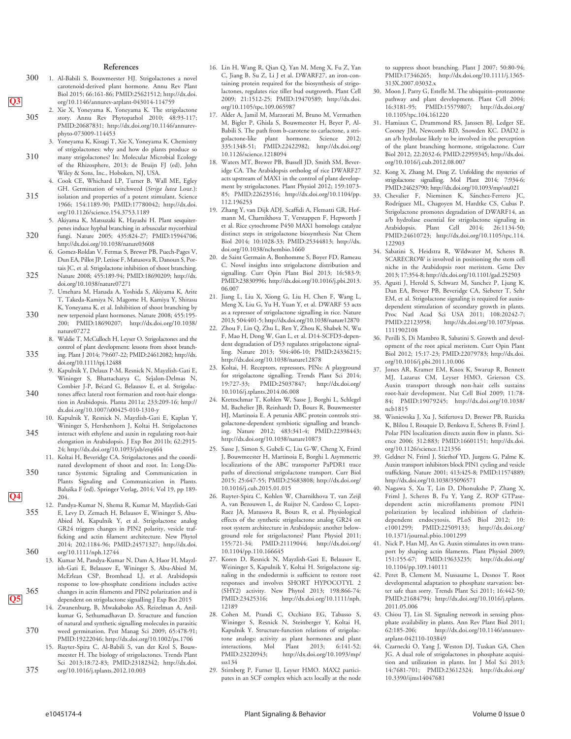#### References

- 300 1. Al-Babili S, Bouwmeester HJ. Strigolactones a novel carotenoid-derived plant hormone. Annu Rev Plant Biol 2015; 66:161-86; PMID:25621512; http://dx.doi. Q3 org/10.1146/annurev-arplant-043014-114759
	- 2. Xie X, Yoneyama K, Yoneyama K. The strigolactone 305 story. Annu Rev Phytopathol 2010; 48:93-117; PMID:20687831; http://dx.doi.org/10.1146/annurevphyto-073009-114453
		- 3. Yoneyama K, Kisugi T, Xie X, Yoneyama K. Chemistry of strigolactones: why and how do plants produce so
	- 310 many strigolactones? In: Molecular Microbial Ecology of the Rhizosphere, 2013; de Bruijn FJ (ed), John Wiley & Sons, Inc., Hoboken, NJ, USA. 4. Cook CE, Whichard LP, Turner B, Wall ME, Egley
	- GH. Germination of witchweed (Striga lutea Lour.): 315 isolation and properties of a potent stimulant. Science 1966; 154:1189-90; PMID:17780042; http://dx.doi. org/10.1126/science.154.3753.1189
	- 5. Akiyama K, Matsuzaki K, Hayashi H. Plant sesquiterpenes induce hyphal branching in arbuscular mycorrhizal 320 fungi. Nature 2005; 435:824-27; PMID:15944706;
		- http://dx.doi.org/10.1038/nature03608 6. Gomez-Roldan V, Fermas S, Brewer PB, Puech-Pages V, Dun EA, Pillot JP, Letisse F, Matusova R, Danoun S, Por-
	- tais JC, et al. Strigolactone inhibition of shoot branching. 325 Nature 2008; 455:189-94; PMID:18690209; http://dx. doi.org/10.1038/nature07271
	- 7. Umehara M, Hanada A, Yoshida S, Akiyama K, Arite T, Takeda-Kamiya N, Magome H, Kamiya Y, Shirasu K, Yoneyama K, et al. Inhibition of shoot branching by 330 new terpenoid plant hormones. Nature 2008; 455:195- 200; PMID:18690207; http://dx.doi.org/10.1038/
	- nature07272 8. Waldie T, McCulloch H, Leyser O. Strigolactones and the control of plant development: lessons from shoot branch-335 ing. Plant J 2014; 79:607-22; PMID:24612082; http://dx. doi.org/10.1111/tpj.12488
	- 9. Kapulnik Y, Delaux P-M, Resnick N, Mayzlish-Gati E, Wininger S, Bhattacharya C, Sejalon-Delmas N, Combier J-P, Becard G, Belausov E, et al. Strigolac-340 tones affect lateral root formation and root-hair elongation in Arabidopsis. Planta 2011a; 233:209-16; http:// dx.doi.org/10.1007/s00425-010-1310-y
	- 10. Kapulnik Y, Resnick N, Mayzlish-Gati E, Kaplan Y, Wininger S, Hershenhorn J, Koltai H. Strigolactones 345 interact with ethylene and auxin in regulating root-hair elongation in Arabidopsis. J Exp Bot 2011b; 62:2915-
	- 24; http://dx.doi.org/10.1093/jxb/erq464 11. Koltai H, Beveridge CA. Strigolactones and the coordinated development of shoot and root. In: Long-Dis-350 tance Systemic Signaling and Communication in Plants Signaling and Communication in Plants. Baluska F (ed). Springer Verlag, 2014; Vol 19, pp 189-
	- 12. Pandya-Kumar N, Shema R, Kumar M, Mayzlish-Gati 355 E, Levy D, Zemach H, Belausov E, Wininger S, Abu-Abied M, Kapulnik Y, et al. Strigolactone analog GR24 triggers changes in PIN2 polarity, vesicle trafficking and actin filament architecture. New Phytol 2014; 202:1184-96; PMID:24571327; http://dx.doi. 360 org/10.1111/nph.12744
- 13. Kumar M, Pandya-Kumar N, Dam A, Haor H, Mayzlish-Gati E, Belausov E, Wininger S, Abu-Abied M, McErlean CSP, Bromhead LJ, et al. Arabidopsis response to low-phosphate conditions includes active 365 changes in actin filaments and PIN2 polarization and is Q5 dependent on strigolactone signalling J Exp Bot 2015
	- 14. Zwanenburg, B, Mwakaboko AS, Reizelman A, Anilkumar G, Sethumadhavan D. Structure and function of natural and synthetic signalling molecules in parasitic 370 weed germination. Pest Manag Sci 2009; 65:478-91;
	- PMID:19222046; http://dx.doi.org/10.1002/ps.1706 15. Ruyter-Spira C, Al-Babili S, van der Krol S, Bouwmeester H. The biology of strigolactones. Trends Plant Sci 2013;18:72-83; PMID:23182342; http://dx.doi. 375 org/10.1016/j.tplants.2012.10.003
	-
- 16. Lin H, Wang R, Qian Q, Yan M, Meng X, Fu Z, Yan C, Jiang B, Su Z, Li J et al. DWARF27, an iron-containing protein required for the biosynthesis of strigolactones, regulates rice tiller bud outgrowth. Plant Cell 2009; 21:1512-25; PMID:19470589; http://dx.doi. org/10.1105/tpc.109.065987
- 17. Alder A, Jamil M, Marzorati M, Bruno M, Vermathen M, Bigler P, Ghisla S, Bouwmeester H, Beyer P, Al-Babili S. The path from b-carotene to carlactone, a strigolactone-like plant hormone. Science 2012; 335:1348-51; PMID:22422982; http://dx.doi.org/ 10.1126/science.1218094
- 18. Waters MT, Brewer PB, Bussell JD, Smith SM, Beveridge CA. The Arabidopsis ortholog of rice DWARF27 acts upstream of MAX1 in the control of plant development by strigolactones. Plant Physiol 2012; 159:1073- 85; PMID:22623516; http://dx.doi.org/10.1104/pp. 112.196253
- 19. Zhang Y, van Dijk ADJ, Scaffidi A, Flematti GR, Hofmann M, Charnikhova T, Verstappen F, Hepworth J et al. Rice cytochrome P450 MAX1 homologs catalyze distinct steps in strigolactone biosynthesis Nat Chem Biol 2014; 10:1028-33; PMID:25344813; http://dx. doi.org/10.1038/nchembio.1660
- 20. de Saint Germain A, Bonhomme S, Boyer FD, Rameau C. Novel insights into strigolactone distribution and signalling. Curr Opin Plant Biol 2013; 16:583-9; PMID:23830996; http://dx.doi.org/10.1016/j.pbi.2013. 06.007
- 21. Jiang L, Liu X, Xiong G, Liu H, Chen F, Wang L, Meng X, Liu G, Yu H, Yuan Y, et al. DWARF 53 acts as a repressor of strigolactone signalling in rice. Nature 2013; 504:401-5; http://dx.doi.org/10.1038/nature12870
- Zhou F, Lin Q, Zhu L, Ren Y, Zhou K, Shabek N, Wu F, Mao H, Dong W, Gan L, et al. D14-SCFD3-dependent degradation of D53 regulates strigolactone signalling. Nature 2013; 504:406-10; PMID:24336215; http://dx.doi.org/10.1038/nature12878
- 23. Koltai, H. Receptors, repressors, PINs: A playground for strigolactone signalling. Trends Plant Sci 2014; 19:727-33; PMID:25037847; http://dx.doi.org/ 10.1016/j.tplants.2014.06.008
- 24. Kretzschmar T, Kohlen W, Sasse J, Borghi L, Schlegel M, Bachelier JB, Reinhardt D, Bours R, Bouwmeester HJ, Martinoia E. A petunia ABC protein controls strigolactone-dependent symbiotic signalling and branching. Nature 2012; 483:341-4; PMID:22398443; http://dx.doi.org/10.1038/nature10873
- 25. Sasse J, Simon S, Gubeli C, Liu G-W, Cheng X, Friml J, Bouwmeester H, Martinoia E, Borghi L Asymmetric localizations of the ABC transporter PaPDR1 trace paths of directional strigolactone transport. Curr Biol 2015; 25:647-55; PMID:25683808; http://dx.doi.org/ 10.1016/j.cub.2015.01.015
- 26. Ruyter-Spira C, Kohlen W, Charnikhova T, van Zeijl A, van Bezouwen L, de Ruijter N, Cardoso C, Lopez-Raez JA, Matusova R, Bours R, et al. Physiological effects of the synthetic strigolactone analog GR24 on root system architecture in Arabidopsis: another belowground role for strigolactones? Plant Physiol 2011; 155:721-34; PMID:21119044; http://dx.doi.org/ 10.1104/pp.110.166645
- Koren D, Resnick N, Mayzlish-Gati E, Belausov E, Weininger S, Kapulnik Y, Koltai H. Strigolactone signaling in the endodermis is sufficient to restore root responses and involves SHORT HYPOCOTYL 2 (SHY2) activity. New Phytol 2013; 198:866-74;  $http://dx.doi.org/10.1111/nph.$ 12189
- 28. Cohen M, Prandi C, Occhiato EG, Tabasso S, Wininger S, Resnick N, Steinberger Y, Koltai H, Kapulnik Y. Structure-function relations of strigolactone analogs: activity as plant hormones and plant interactions. Mol Plant 2013; 6:141-52; PMID:23220943; http://dx.doi.org/10.1093/mp/ sss134
- 29. Stirnberg P, Furner IJ, Leyser HMO. MAX2 participates in an SCF complex which acts locally at the node

to suppress shoot branching. Plant J 2007; 50:80-94; PMID:17346265; http://dx.doi.org/10.1111/j.1365- 313X.2007.03032.x

- 30. Moon J, Parry G, Estelle M. The ubiquitin–proteasome pathway and plant development. Plant Cell 2004; 16:3181-95; PMID:15579807; http://dx.doi.org/ 10.1105/tpc.104.161220
- 31. Hamiaux C, Drummond RS, Janssen BJ, Ledger SE, Cooney JM, Newcomb RD, Snowden KC. DAD2 is an a/b hydrolase likely to be involved in the perception of the plant branching hormone, strigolactone. Curr Biol 2012; 22:2032-6; PMID:22959345; http://dx.doi. org/10.1016/j.cub.2012.08.007
- Kong X, Zhang M, Ding Z. Unfolding the mysteries of strigolactone signalling. Mol Plant 2014; 7:934-6; PMID:24623790; http://dx.doi.org/10.1093/mp/ssu021
- 33. Chevalier F, Nieminen K, Sánchez-Ferrero JC, Rodríguez ML, Chagoyen M, Hardtke CS, Cubas P. Strigolactone promotes degradation of DWARF14, an a/b hydrolase essential for strigolactone signaling in Arabidopsis. Plant Cell 2014; 26:1134-50; PMID:24610723; http://dx.doi.org/10.1105/tpc.114. 122903
- 34. Sabatini S, Heidstra R, Wildwater M, Scheres B. SCARECROW is involved in positioning the stem cell niche in the Arabidopsis root meristem. Gene Dev 2013; 17:354-8; http://dx.doi.org/10.1101/gad.252503
- Agusti J, Herold S, Schwarz M, Sanchez P, Ljung K, Dun EA, Brewer PB, Beveridge CA, Sieberer T, Sehr EM, et al. Strigolactone signaling is required for auxindependent stimulation of secondary growth in plants. Proc Natl Acad Sci USA 2011; 108:20242-7;<br>PMID:22123958; http://dx.doi.org/10.1073/pnas. http://dx.doi.org/10.1073/pnas. 1111902108
- 36. Perilli S, Di Mambro R, Sabatini S. Growth and development of the root apical meristem. Curr Opin Plant Biol 2012; 15:17-23; PMID:22079783; http://dx.doi. org/10.1016/j.pbi.2011.10.006
- 37. Jones AR, Kramer EM, Knox K, Swarup R, Bennett MJ, Lazarus CM, Leyser HMO, Grierson CS. Auxin transport through non-hair cells sustains root-hair development. Nat Cell Biol 2009; 11:78- 84; PMID:19079245; http://dx.doi.org/10.1038/ ncb1815
- 38. Wisniewska J, Xu J, Seifertova D, Brewer PB, Ruzicka K, Blilou I, Rouquie D, Benkova E, Scheres B, Friml J. Polar PIN localization directs auxin flow in plants. Science 2006; 312:883; PMID:16601151; http://dx.doi. org/10.1126/science.1121356
- 39. Geldner N, Friml J, Stierhof YD, Jurgens G, Palme K. Auxin transport inhibitors block PIN1 cycling and vesicle trafficking. Nature 2001; 413:425-8; PMID:11574889; http://dx.doi.org/10.1038/35096571
- 40. Nagawa S, Xu T, Lin D, Dhonukshe P, Zhang X, Friml J, Scheres B, Fu Y, Yang Z. ROP GTPasedependent actin microfilaments promote PIN1 polarization by localized inhibition of clathrindependent endocytosis. PLoS Biol 2012; 10: e1001299; PMID:22509133; http://dx.doi.org/ 10.1371/journal.pbio.1001299
- 41. Nick P, Han MJ, An G. Auxin stimulates its own transport by shaping actin filaments. Plant Physiol 2009; 151:155-67; PMID:19633235; http://dx.doi.org/ 10.1104/pp.109.140111
- 42. Peret B, Clement M, Nussaume L, Desnos T. Root developmental adaptation to phosphate starvation: better safe than sorry. Trends Plant Sci 2011; 16:442-50; PMID:21684794; http://dx.doi.org/10.1016/j.tplants. 2011.05.006
- 43. Chiou TJ, Lin SI. Signaling network in sensing phosphate availability in plants. Ann Rev Plant Biol 2011; http://dx.doi.org/10.1146/annurevarplant-042110-103849
- 44. Czarnecki O, Yang J, Weston DJ, Tuskan GA, Chen JG. A dual role of strigolactones in phosphate acquisition and utilization in plants. Int J Mol Sci 2013; 14:7681-701; PMID:23612324; http://dx.doi.org/ 10.3390/ijms14047681

 $\overline{Q4}$